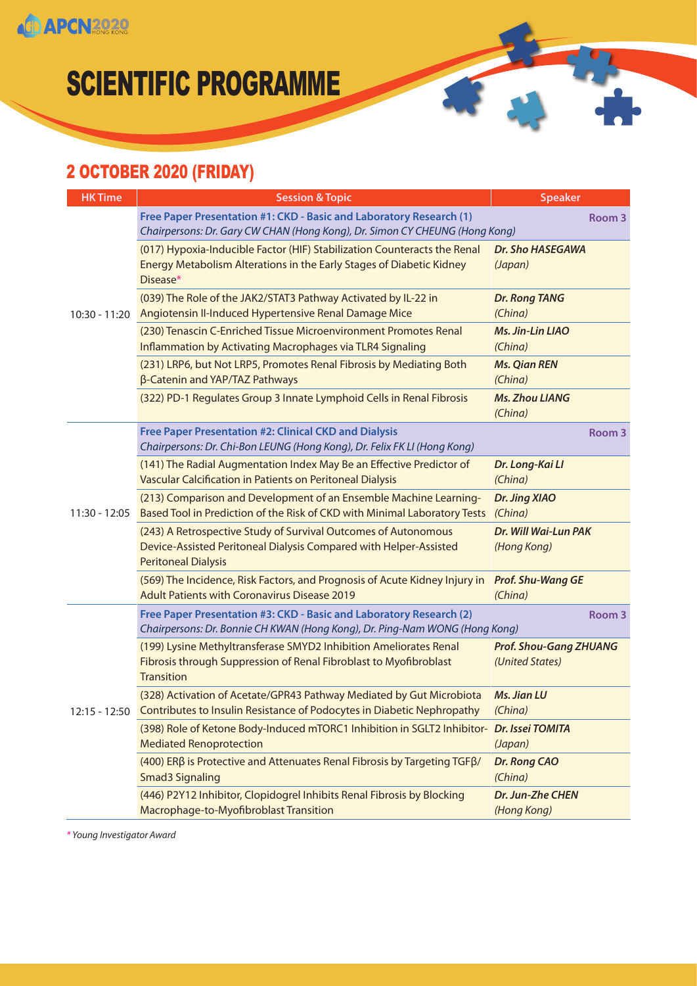

#### 2 OCTOBER 2020 (FRIDAY)

| <b>HK Time</b> | <b>Session &amp; Topic</b>                                                                                                                                        | <b>Speaker</b>                                   |
|----------------|-------------------------------------------------------------------------------------------------------------------------------------------------------------------|--------------------------------------------------|
| 10:30 - 11:20  | Free Paper Presentation #1: CKD - Basic and Laboratory Research (1)<br>Chairpersons: Dr. Gary CW CHAN (Hong Kong), Dr. Simon CY CHEUNG (Hong Kong)                | Room 3                                           |
|                | (017) Hypoxia-Inducible Factor (HIF) Stabilization Counteracts the Renal<br>Energy Metabolism Alterations in the Early Stages of Diabetic Kidney<br>Disease*      | Dr. Sho HASEGAWA<br>(Japan)                      |
|                | (039) The Role of the JAK2/STAT3 Pathway Activated by IL-22 in<br>Angiotensin II-Induced Hypertensive Renal Damage Mice                                           | <b>Dr. Rong TANG</b><br>(China)                  |
|                | (230) Tenascin C-Enriched Tissue Microenvironment Promotes Renal<br>Inflammation by Activating Macrophages via TLR4 Signaling                                     | Ms. Jin-Lin LIAO<br>(China)                      |
|                | (231) LRP6, but Not LRP5, Promotes Renal Fibrosis by Mediating Both<br>β-Catenin and YAP/TAZ Pathways                                                             | <b>Ms. Qian REN</b><br>(China)                   |
|                | (322) PD-1 Regulates Group 3 Innate Lymphoid Cells in Renal Fibrosis                                                                                              | <b>Ms. Zhou LIANG</b><br>(China)                 |
|                | Free Paper Presentation #2: Clinical CKD and Dialysis<br>Chairpersons: Dr. Chi-Bon LEUNG (Hong Kong), Dr. Felix FK LI (Hong Kong)                                 | Room 3                                           |
|                | (141) The Radial Augmentation Index May Be an Effective Predictor of<br>Vascular Calcification in Patients on Peritoneal Dialysis                                 | Dr. Long-Kai Ll<br>(China)                       |
| 11:30 - 12:05  | (213) Comparison and Development of an Ensemble Machine Learning-<br>Based Tool in Prediction of the Risk of CKD with Minimal Laboratory Tests                    | Dr. Jing XIAO<br>(China)                         |
|                | (243) A Retrospective Study of Survival Outcomes of Autonomous<br>Device-Assisted Peritoneal Dialysis Compared with Helper-Assisted<br><b>Peritoneal Dialysis</b> | Dr. Will Wai-Lun PAK<br>(Hong Kong)              |
|                | (569) The Incidence, Risk Factors, and Prognosis of Acute Kidney Injury in<br><b>Adult Patients with Coronavirus Disease 2019</b>                                 | <b>Prof. Shu-Wang GE</b><br>(China)              |
| 12:15 - 12:50  | Free Paper Presentation #3: CKD - Basic and Laboratory Research (2)<br>Chairpersons: Dr. Bonnie CH KWAN (Hong Kong), Dr. Ping-Nam WONG (Hong Kong)                | Room <sub>3</sub>                                |
|                | (199) Lysine Methyltransferase SMYD2 Inhibition Ameliorates Renal<br>Fibrosis through Suppression of Renal Fibroblast to Myofibroblast<br><b>Transition</b>       | <b>Prof. Shou-Gang ZHUANG</b><br>(United States) |
|                | (328) Activation of Acetate/GPR43 Pathway Mediated by Gut Microbiota<br>Contributes to Insulin Resistance of Podocytes in Diabetic Nephropathy                    | <b>Ms. Jian LU</b><br>(China)                    |
|                | (398) Role of Ketone Body-Induced mTORC1 Inhibition in SGLT2 Inhibitor- Dr. Issei TOMITA<br><b>Mediated Renoprotection</b>                                        | (Japan)                                          |
|                | (400) ERβ is Protective and Attenuates Renal Fibrosis by Targeting TGFβ/<br><b>Smad3 Signaling</b>                                                                | Dr. Rong CAO<br>(China)                          |
|                | (446) P2Y12 Inhibitor, Clopidogrel Inhibits Renal Fibrosis by Blocking<br>Macrophage-to-Myofibroblast Transition                                                  | Dr. Jun-Zhe CHEN<br>(Hong Kong)                  |

*\* Young Investigator Award*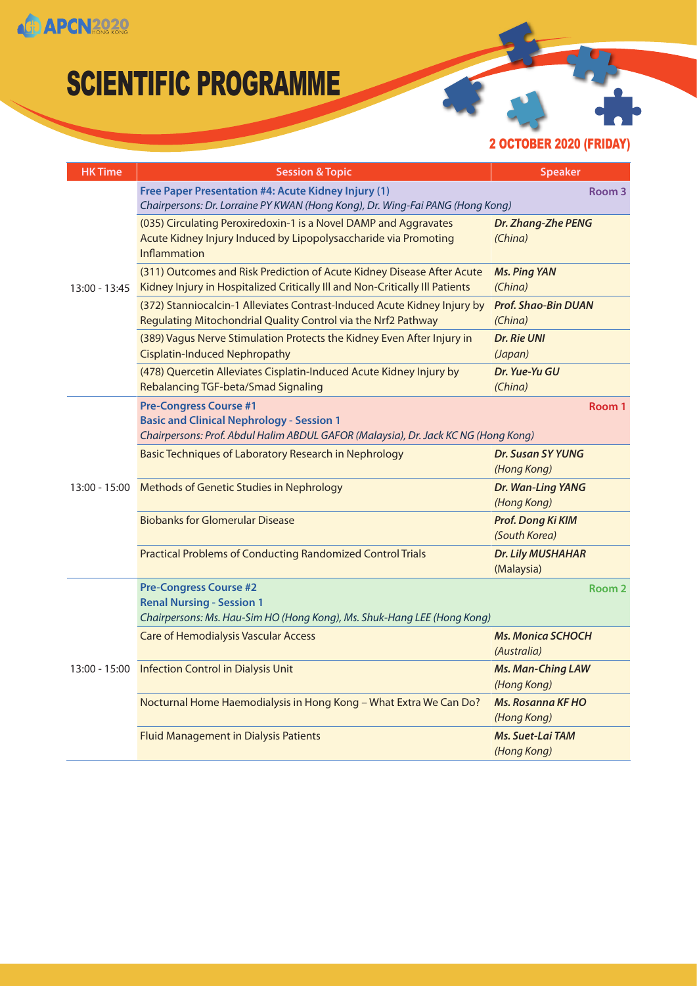

2 OCTOBER 2020 (FRIDAY)

| <b>HK Time</b> | <b>Session &amp; Topic</b>                                                                                                                                              | <b>Speaker</b>                          |
|----------------|-------------------------------------------------------------------------------------------------------------------------------------------------------------------------|-----------------------------------------|
| 13:00 - 13:45  | Free Paper Presentation #4: Acute Kidney Injury (1)<br>Chairpersons: Dr. Lorraine PY KWAN (Hong Kong), Dr. Wing-Fai PANG (Hong Kong)                                    | Room 3                                  |
|                | (035) Circulating Peroxiredoxin-1 is a Novel DAMP and Aggravates<br>Acute Kidney Injury Induced by Lipopolysaccharide via Promoting<br><b>Inflammation</b>              | Dr. Zhang-Zhe PENG<br>(China)           |
|                | (311) Outcomes and Risk Prediction of Acute Kidney Disease After Acute<br>Kidney Injury in Hospitalized Critically III and Non-Critically III Patients                  | <b>Ms. Ping YAN</b><br>(China)          |
|                | (372) Stanniocalcin-1 Alleviates Contrast-Induced Acute Kidney Injury by<br>Regulating Mitochondrial Quality Control via the Nrf2 Pathway                               | <b>Prof. Shao-Bin DUAN</b><br>(China)   |
|                | (389) Vagus Nerve Stimulation Protects the Kidney Even After Injury in<br><b>Cisplatin-Induced Nephropathy</b>                                                          | Dr. Rie UNI<br>(Japan)                  |
|                | (478) Quercetin Alleviates Cisplatin-Induced Acute Kidney Injury by<br>Rebalancing TGF-beta/Smad Signaling                                                              | Dr. Yue-Yu GU<br>(China)                |
|                | <b>Pre-Congress Course #1</b><br><b>Basic and Clinical Nephrology - Session 1</b><br>Chairpersons: Prof. Abdul Halim ABDUL GAFOR (Malaysia), Dr. Jack KC NG (Hong Kong) | Room 1                                  |
|                | Basic Techniques of Laboratory Research in Nephrology                                                                                                                   | <b>Dr. Susan SY YUNG</b><br>(Hong Kong) |
|                | 13:00 - 15:00 Methods of Genetic Studies in Nephrology                                                                                                                  | Dr. Wan-Ling YANG<br>(Hong Kong)        |
|                | <b>Biobanks for Glomerular Disease</b>                                                                                                                                  | Prof. Dong Ki KIM<br>(South Korea)      |
|                | <b>Practical Problems of Conducting Randomized Control Trials</b>                                                                                                       | <b>Dr. Lily MUSHAHAR</b><br>(Malaysia)  |
| 13:00 - 15:00  | <b>Pre-Congress Course #2</b><br><b>Renal Nursing - Session 1</b><br>Chairpersons: Ms. Hau-Sim HO (Hong Kong), Ms. Shuk-Hang LEE (Hong Kong)                            | Room <sub>2</sub>                       |
|                | <b>Care of Hemodialysis Vascular Access</b>                                                                                                                             | <b>Ms. Monica SCHOCH</b><br>(Australia) |
|                | <b>Infection Control in Dialysis Unit</b>                                                                                                                               | <b>Ms. Man-Ching LAW</b><br>(Hong Kong) |
|                | Nocturnal Home Haemodialysis in Hong Kong - What Extra We Can Do?                                                                                                       | <b>Ms. Rosanna KF HO</b><br>(Hong Kong) |
|                | <b>Fluid Management in Dialysis Patients</b>                                                                                                                            | Ms. Suet-Lai TAM<br>(Hong Kong)         |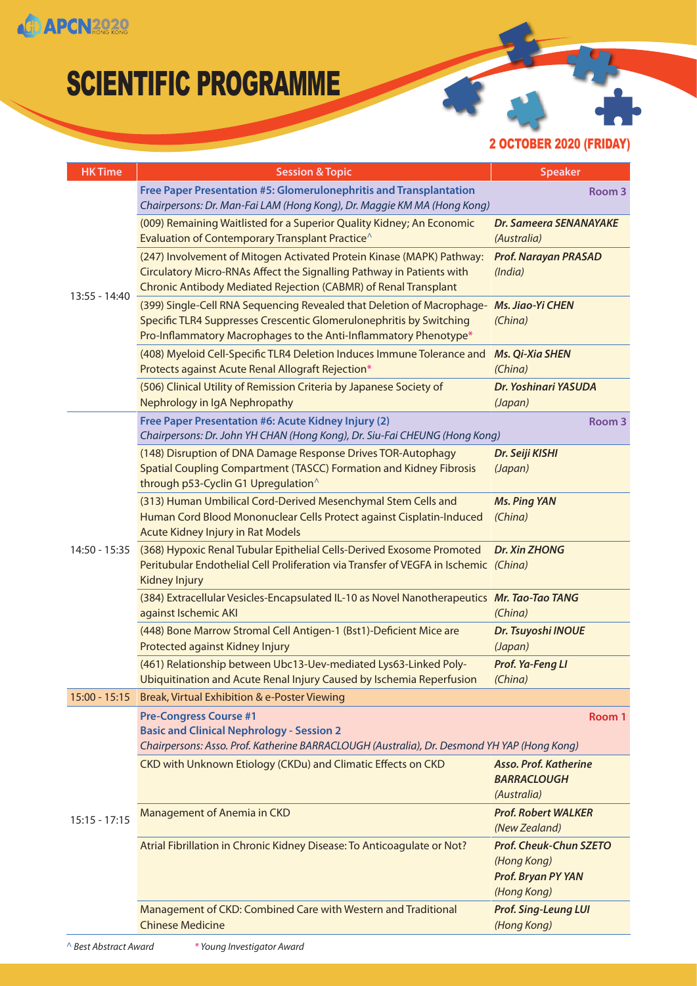

2 OCTOBER 2020 (FRIDAY)

| <b>HK Time</b>  | <b>Session &amp; Topic</b>                                                                                                                                                                                        | <b>Speaker</b>                                                                    |
|-----------------|-------------------------------------------------------------------------------------------------------------------------------------------------------------------------------------------------------------------|-----------------------------------------------------------------------------------|
| $13:55 - 14:40$ | Free Paper Presentation #5: Glomerulonephritis and Transplantation<br>Chairpersons: Dr. Man-Fai LAM (Hong Kong), Dr. Maggie KM MA (Hong Kong)                                                                     | Room <sub>3</sub>                                                                 |
|                 | (009) Remaining Waitlisted for a Superior Quality Kidney; An Economic<br>Evaluation of Contemporary Transplant Practice <sup>^</sup>                                                                              | <b>Dr. Sameera SENANAYAKE</b><br>(Australia)                                      |
|                 | (247) Involvement of Mitogen Activated Protein Kinase (MAPK) Pathway:<br>Circulatory Micro-RNAs Affect the Signalling Pathway in Patients with<br>Chronic Antibody Mediated Rejection (CABMR) of Renal Transplant | <b>Prof. Narayan PRASAD</b><br>(India)                                            |
|                 | (399) Single-Cell RNA Sequencing Revealed that Deletion of Macrophage-<br>Specific TLR4 Suppresses Crescentic Glomerulonephritis by Switching<br>Pro-Inflammatory Macrophages to the Anti-Inflammatory Phenotype* | <b>Ms. Jiao-Yi CHEN</b><br>(China)                                                |
|                 | (408) Myeloid Cell-Specific TLR4 Deletion Induces Immune Tolerance and<br>Protects against Acute Renal Allograft Rejection*                                                                                       | <b>Ms. Qi-Xia SHEN</b><br>(China)                                                 |
|                 | (506) Clinical Utility of Remission Criteria by Japanese Society of<br>Nephrology in IgA Nephropathy                                                                                                              | Dr. Yoshinari YASUDA<br>(Japan)                                                   |
|                 | Free Paper Presentation #6: Acute Kidney Injury (2)<br>Chairpersons: Dr. John YH CHAN (Hong Kong), Dr. Siu-Fai CHEUNG (Hong Kong)                                                                                 | Room <sub>3</sub>                                                                 |
| 14:50 - 15:35   | (148) Disruption of DNA Damage Response Drives TOR-Autophagy<br>Spatial Coupling Compartment (TASCC) Formation and Kidney Fibrosis<br>through p53-Cyclin G1 Upregulation <sup>^</sup>                             | Dr. Seiji KISHI<br>(Japan)                                                        |
|                 | (313) Human Umbilical Cord-Derived Mesenchymal Stem Cells and<br>Human Cord Blood Mononuclear Cells Protect against Cisplatin-Induced<br>Acute Kidney Injury in Rat Models                                        | <b>Ms. Ping YAN</b><br>(China)                                                    |
|                 | (368) Hypoxic Renal Tubular Epithelial Cells-Derived Exosome Promoted<br>Peritubular Endothelial Cell Proliferation via Transfer of VEGFA in Ischemic (China)<br><b>Kidney Injury</b>                             | <b>Dr. Xin ZHONG</b>                                                              |
|                 | (384) Extracellular Vesicles-Encapsulated IL-10 as Novel Nanotherapeutics Mr. Tao-Tao TANG<br>against Ischemic AKI                                                                                                | (China)                                                                           |
|                 | (448) Bone Marrow Stromal Cell Antigen-1 (Bst1)-Deficient Mice are<br>Protected against Kidney Injury                                                                                                             | Dr. Tsuyoshi INOUE<br>(Japan)                                                     |
|                 | (461) Relationship between Ubc13-Uev-mediated Lys63-Linked Poly-<br>Ubiquitination and Acute Renal Injury Caused by Ischemia Reperfusion                                                                          | Prof. Ya-Feng LI<br>(China)                                                       |
| $15:00 - 15:15$ | Break, Virtual Exhibition & e-Poster Viewing                                                                                                                                                                      |                                                                                   |
| $15:15 - 17:15$ | <b>Pre-Congress Course #1</b><br><b>Basic and Clinical Nephrology - Session 2</b><br>Chairpersons: Asso. Prof. Katherine BARRACLOUGH (Australia), Dr. Desmond YH YAP (Hong Kong)                                  | Room 1                                                                            |
|                 | CKD with Unknown Etiology (CKDu) and Climatic Effects on CKD                                                                                                                                                      | <b>Asso. Prof. Katherine</b><br><b>BARRACLOUGH</b><br>(Australia)                 |
|                 | Management of Anemia in CKD                                                                                                                                                                                       | <b>Prof. Robert WALKER</b><br>(New Zealand)                                       |
|                 | Atrial Fibrillation in Chronic Kidney Disease: To Anticoagulate or Not?                                                                                                                                           | <b>Prof. Cheuk-Chun SZETO</b><br>(Hong Kong)<br>Prof. Bryan PY YAN<br>(Hong Kong) |
|                 | Management of CKD: Combined Care with Western and Traditional<br><b>Chinese Medicine</b>                                                                                                                          | <b>Prof. Sing-Leung LUI</b><br>(Hong Kong)                                        |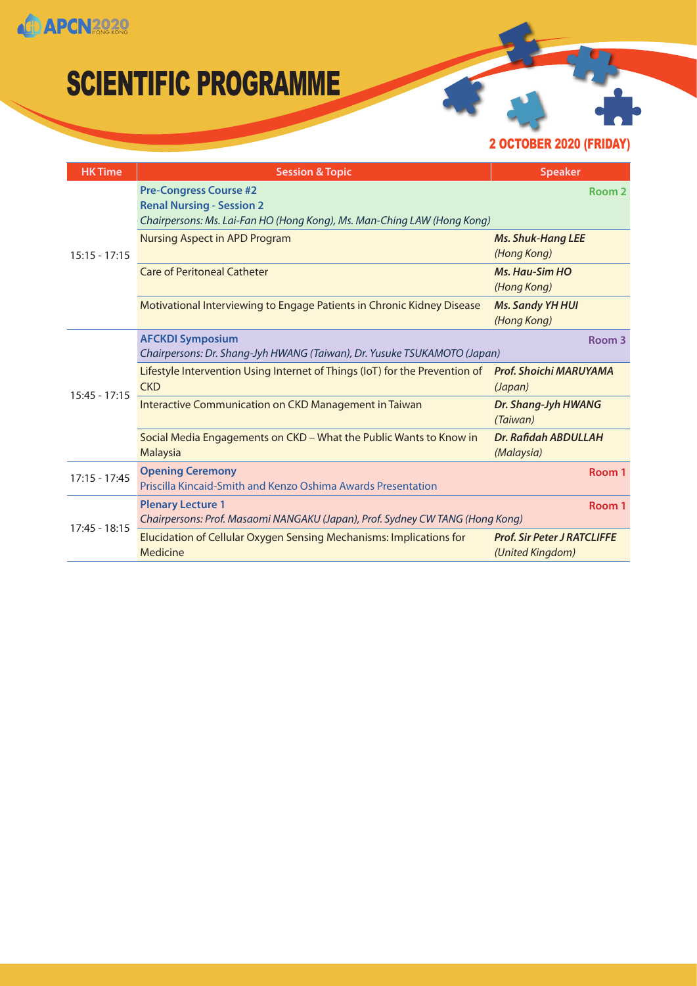**CD APCN2020** 

### SCIENTIFIC PROGRAMME

2 OCTOBER 2020 (FRIDAY)

| <b>HK Time</b>  | <b>Session &amp; Topic</b>                                                                                                                   | <b>Speaker</b>                                         |
|-----------------|----------------------------------------------------------------------------------------------------------------------------------------------|--------------------------------------------------------|
| $15:15 - 17:15$ | <b>Pre-Congress Course #2</b><br><b>Renal Nursing - Session 2</b><br>Chairpersons: Ms. Lai-Fan HO (Hong Kong), Ms. Man-Ching LAW (Hong Kong) | Room 2                                                 |
|                 | <b>Nursing Aspect in APD Program</b>                                                                                                         | <b>Ms. Shuk-Hang LEE</b><br>(Hong Kong)                |
|                 | <b>Care of Peritoneal Catheter</b>                                                                                                           | <b>Ms. Hau-Sim HO</b><br>(Hong Kong)                   |
|                 | Motivational Interviewing to Engage Patients in Chronic Kidney Disease                                                                       | <b>Ms. Sandy YH HUI</b><br>(Hong Kong)                 |
| $15:45 - 17:15$ | <b>AFCKDI Symposium</b><br>Chairpersons: Dr. Shang-Jyh HWANG (Taiwan), Dr. Yusuke TSUKAMOTO (Japan)                                          | Room 3                                                 |
|                 | Lifestyle Intervention Using Internet of Things (IoT) for the Prevention of<br><b>CKD</b>                                                    | Prof. Shoichi MARUYAMA<br>(Japan)                      |
|                 | Interactive Communication on CKD Management in Taiwan                                                                                        | Dr. Shang-Jyh HWANG<br>(Taiwan)                        |
|                 | Social Media Engagements on CKD - What the Public Wants to Know in<br>Malaysia                                                               | Dr. Rafidah ABDULLAH<br>(Malaysia)                     |
| $17:15 - 17:45$ | <b>Opening Ceremony</b><br>Priscilla Kincaid-Smith and Kenzo Oshima Awards Presentation                                                      | Room 1                                                 |
| $17:45 - 18:15$ | <b>Plenary Lecture 1</b><br>Chairpersons: Prof. Masaomi NANGAKU (Japan), Prof. Sydney CW TANG (Hong Kong)                                    | Room 1                                                 |
|                 | Elucidation of Cellular Oxygen Sensing Mechanisms: Implications for<br>Medicine                                                              | <b>Prof. Sir Peter J RATCLIFFE</b><br>(United Kingdom) |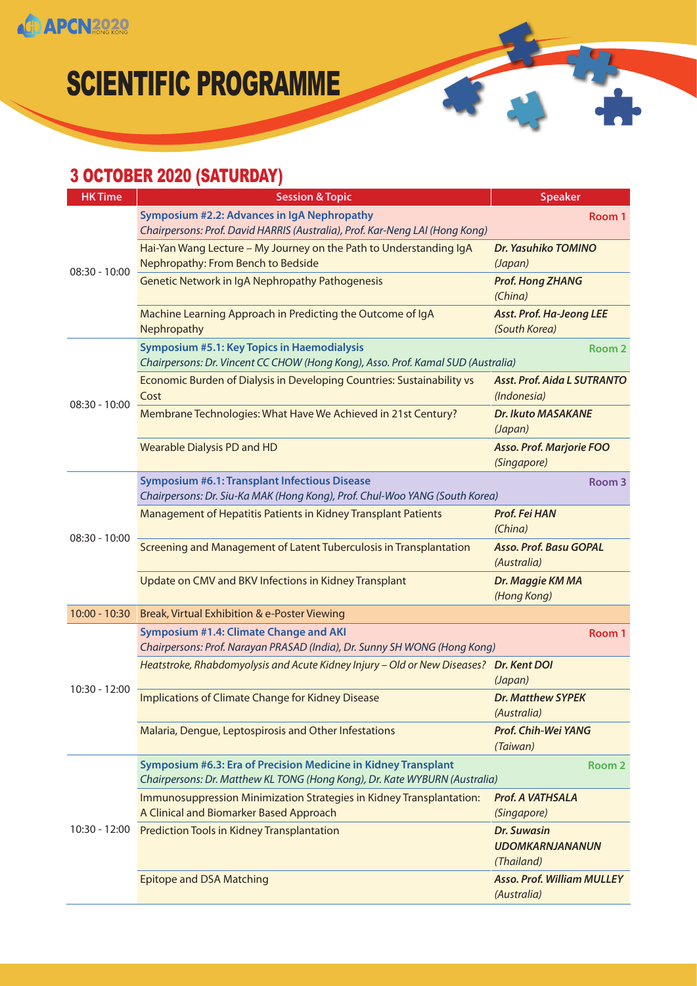

#### 3 OCTOBER 2020 (SATURDAY)

**CD APCN2020** 

| <b>HK Time</b>  | <b>Session &amp; Topic</b>                                                                                                                   | <b>Speaker</b>                                             |
|-----------------|----------------------------------------------------------------------------------------------------------------------------------------------|------------------------------------------------------------|
| $08:30 - 10:00$ | Symposium #2.2: Advances in IgA Nephropathy<br>Chairpersons: Prof. David HARRIS (Australia), Prof. Kar-Neng LAI (Hong Kong)                  | Room 1                                                     |
|                 | Hai-Yan Wang Lecture - My Journey on the Path to Understanding IgA<br>Nephropathy: From Bench to Bedside                                     | Dr. Yasuhiko TOMINO<br>(Japan)                             |
|                 | <b>Genetic Network in IgA Nephropathy Pathogenesis</b>                                                                                       | <b>Prof. Hong ZHANG</b><br>(China)                         |
|                 | Machine Learning Approach in Predicting the Outcome of IgA<br>Nephropathy                                                                    | <b>Asst. Prof. Ha-Jeong LEE</b><br>(South Korea)           |
|                 | <b>Symposium #5.1: Key Topics in Haemodialysis</b><br>Chairpersons: Dr. Vincent CC CHOW (Hong Kong), Asso. Prof. Kamal SUD (Australia)       | Room <sub>2</sub>                                          |
|                 | Economic Burden of Dialysis in Developing Countries: Sustainability vs<br>Cost                                                               | <b>Asst. Prof. Aida L SUTRANTO</b><br>(Indonesia)          |
| $08:30 - 10:00$ | Membrane Technologies: What Have We Achieved in 21st Century?                                                                                | <b>Dr. Ikuto MASAKANE</b><br>(Japan)                       |
|                 | <b>Wearable Dialysis PD and HD</b>                                                                                                           | <b>Asso. Prof. Marjorie FOO</b><br>(Singapore)             |
|                 | <b>Symposium #6.1: Transplant Infectious Disease</b><br>Chairpersons: Dr. Siu-Ka MAK (Hong Kong), Prof. Chul-Woo YANG (South Korea)          | Room 3                                                     |
| 08:30 - 10:00   | Management of Hepatitis Patients in Kidney Transplant Patients                                                                               | Prof. Fei HAN<br>(China)                                   |
|                 | Screening and Management of Latent Tuberculosis in Transplantation                                                                           | <b>Asso. Prof. Basu GOPAL</b><br>(Australia)               |
|                 | Update on CMV and BKV Infections in Kidney Transplant                                                                                        | Dr. Maggie KM MA<br>(Hong Kong)                            |
| $10:00 - 10:30$ | Break, Virtual Exhibition & e-Poster Viewing                                                                                                 |                                                            |
|                 | Symposium #1.4: Climate Change and AKI<br>Chairpersons: Prof. Narayan PRASAD (India), Dr. Sunny SH WONG (Hong Kong)                          | Room 1                                                     |
|                 | Heatstroke, Rhabdomyolysis and Acute Kidney Injury - Old or New Diseases? Dr. Kent DOI                                                       | (Japan)                                                    |
| 10:30 - 12:00   | Implications of Climate Change for Kidney Disease                                                                                            | <b>Dr. Matthew SYPEK</b><br>(Australia)                    |
|                 | Malaria, Dengue, Leptospirosis and Other Infestations                                                                                        | Prof. Chih-Wei YANG<br>(Taiwan)                            |
| 10:30 - 12:00   | Symposium #6.3: Era of Precision Medicine in Kidney Transplant<br>Chairpersons: Dr. Matthew KL TONG (Hong Kong), Dr. Kate WYBURN (Australia) | Room 2                                                     |
|                 | Immunosuppression Minimization Strategies in Kidney Transplantation:<br>A Clinical and Biomarker Based Approach                              | Prof. A VATHSALA<br>(Singapore)                            |
|                 | <b>Prediction Tools in Kidney Transplantation</b>                                                                                            | <b>Dr. Suwasin</b><br><b>UDOMKARNJANANUN</b><br>(Thailand) |
|                 | <b>Epitope and DSA Matching</b>                                                                                                              | <b>Asso. Prof. William MULLEY</b><br>(Australia)           |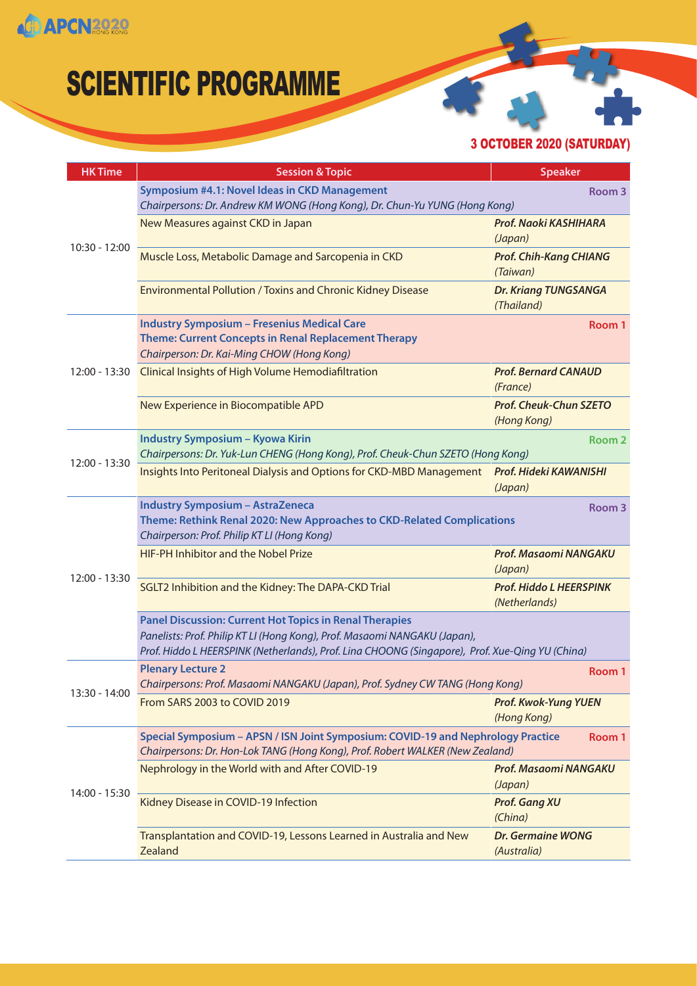

3 OCTOBER 2020 (SATURDAY)

| <b>Session &amp; Topic</b>                                                                                                                                                                                                                     | <b>Speaker</b>                                  |
|------------------------------------------------------------------------------------------------------------------------------------------------------------------------------------------------------------------------------------------------|-------------------------------------------------|
| Symposium #4.1: Novel Ideas in CKD Management<br>Chairpersons: Dr. Andrew KM WONG (Hong Kong), Dr. Chun-Yu YUNG (Hong Kong)                                                                                                                    | Room 3                                          |
| New Measures against CKD in Japan                                                                                                                                                                                                              | Prof. Naoki KASHIHARA<br>(Japan)                |
| Muscle Loss, Metabolic Damage and Sarcopenia in CKD                                                                                                                                                                                            | <b>Prof. Chih-Kang CHIANG</b><br>(Taiwan)       |
| Environmental Pollution / Toxins and Chronic Kidney Disease                                                                                                                                                                                    | <b>Dr. Kriang TUNGSANGA</b><br>(Thailand)       |
| <b>Industry Symposium - Fresenius Medical Care</b><br><b>Theme: Current Concepts in Renal Replacement Therapy</b><br>Chairperson: Dr. Kai-Ming CHOW (Hong Kong)                                                                                | Room 1                                          |
| <b>Clinical Insights of High Volume Hemodiafiltration</b>                                                                                                                                                                                      | <b>Prof. Bernard CANAUD</b><br>(France)         |
| New Experience in Biocompatible APD                                                                                                                                                                                                            | <b>Prof. Cheuk-Chun SZETO</b><br>(Hong Kong)    |
| Industry Symposium - Kyowa Kirin<br>Chairpersons: Dr. Yuk-Lun CHENG (Hong Kong), Prof. Cheuk-Chun SZETO (Hong Kong)                                                                                                                            | Room 2                                          |
| Insights Into Peritoneal Dialysis and Options for CKD-MBD Management                                                                                                                                                                           | Prof. Hideki KAWANISHI<br>(Japan)               |
| <b>Industry Symposium - AstraZeneca</b><br>Theme: Rethink Renal 2020: New Approaches to CKD-Related Complications<br>Chairperson: Prof. Philip KT LI (Hong Kong)                                                                               | Room 3                                          |
| <b>HIF-PH Inhibitor and the Nobel Prize</b>                                                                                                                                                                                                    | <b>Prof. Masaomi NANGAKU</b><br>(Japan)         |
| SGLT2 Inhibition and the Kidney: The DAPA-CKD Trial                                                                                                                                                                                            | <b>Prof. Hiddo L HEERSPINK</b><br>(Netherlands) |
| <b>Panel Discussion: Current Hot Topics in Renal Therapies</b><br>Panelists: Prof. Philip KT LI (Hong Kong), Prof. Masaomi NANGAKU (Japan),<br>Prof. Hiddo L HEERSPINK (Netherlands), Prof. Lina CHOONG (Singapore), Prof. Xue-Qing YU (China) |                                                 |
| <b>Plenary Lecture 2</b><br>Chairpersons: Prof. Masaomi NANGAKU (Japan), Prof. Sydney CW TANG (Hong Kong)                                                                                                                                      | Room 1                                          |
| From SARS 2003 to COVID 2019                                                                                                                                                                                                                   | <b>Prof. Kwok-Yung YUEN</b><br>(Hong Kong)      |
| Special Symposium - APSN / ISN Joint Symposium: COVID-19 and Nephrology Practice<br>Chairpersons: Dr. Hon-Lok TANG (Hong Kong), Prof. Robert WALKER (New Zealand)                                                                              | Room 1                                          |
| Nephrology in the World with and After COVID-19                                                                                                                                                                                                | <b>Prof. Masaomi NANGAKU</b><br>(Japan)         |
| Kidney Disease in COVID-19 Infection                                                                                                                                                                                                           | <b>Prof. Gang XU</b><br>(China)                 |
| Transplantation and COVID-19, Lessons Learned in Australia and New<br>Zealand                                                                                                                                                                  | <b>Dr. Germaine WONG</b><br>(Australia)         |
|                                                                                                                                                                                                                                                |                                                 |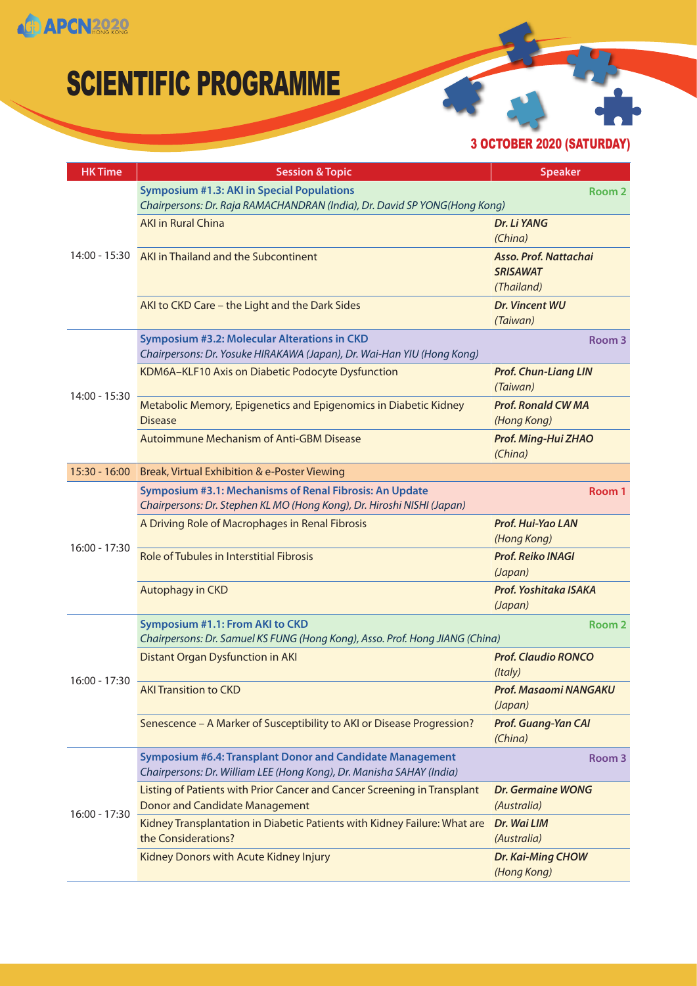**CD APCN2020** 

## SCIENTIFIC PROGRAMME

3 OCTOBER 2020 (SATURDAY)

| <b>HK Time</b>  | <b>Session &amp; Topic</b>                                                                                                        | <b>Speaker</b>                                         |
|-----------------|-----------------------------------------------------------------------------------------------------------------------------------|--------------------------------------------------------|
| 14:00 - 15:30   | <b>Symposium #1.3: AKI in Special Populations</b><br>Chairpersons: Dr. Raja RAMACHANDRAN (India), Dr. David SP YONG(Hong Kong)    | Room 2                                                 |
|                 | <b>AKI in Rural China</b>                                                                                                         | Dr. Li YANG<br>(China)                                 |
|                 | AKI in Thailand and the Subcontinent                                                                                              | Asso. Prof. Nattachai<br><b>SRISAWAT</b><br>(Thailand) |
|                 | AKI to CKD Care - the Light and the Dark Sides                                                                                    | <b>Dr. Vincent WU</b><br>(Taiwan)                      |
|                 | <b>Symposium #3.2: Molecular Alterations in CKD</b><br>Chairpersons: Dr. Yosuke HIRAKAWA (Japan), Dr. Wai-Han YIU (Hong Kong)     | Room <sub>3</sub>                                      |
|                 | KDM6A-KLF10 Axis on Diabetic Podocyte Dysfunction                                                                                 | <b>Prof. Chun-Liang LIN</b><br>(Taiwan)                |
| 14:00 - 15:30   | Metabolic Memory, Epigenetics and Epigenomics in Diabetic Kidney<br><b>Disease</b>                                                | <b>Prof. Ronald CW MA</b><br>(Hong Kong)               |
|                 | <b>Autoimmune Mechanism of Anti-GBM Disease</b>                                                                                   | Prof. Ming-Hui ZHAO<br>(China)                         |
| $15:30 - 16:00$ | Break, Virtual Exhibition & e-Poster Viewing                                                                                      |                                                        |
|                 | Symposium #3.1: Mechanisms of Renal Fibrosis: An Update<br>Chairpersons: Dr. Stephen KL MO (Hong Kong), Dr. Hiroshi NISHI (Japan) | Room 1                                                 |
|                 | A Driving Role of Macrophages in Renal Fibrosis                                                                                   | Prof. Hui-Yao LAN<br>(Hong Kong)                       |
| 16:00 - 17:30   | Role of Tubules in Interstitial Fibrosis                                                                                          | <b>Prof. Reiko INAGI</b><br>(Japan)                    |
|                 | Autophagy in CKD                                                                                                                  | Prof. Yoshitaka ISAKA<br>(Japan)                       |
|                 | <b>Symposium #1.1: From AKI to CKD</b><br>Chairpersons: Dr. Samuel KS FUNG (Hong Kong), Asso. Prof. Hong JIANG (China)            | Room <sub>2</sub>                                      |
|                 | <b>Distant Organ Dysfunction in AKI</b>                                                                                           | <b>Prof. Claudio RONCO</b><br>(Italy)                  |
| 16:00 - 17:30   | <b>AKI Transition to CKD</b>                                                                                                      | Prof. Masaomi NANGAKU<br>(Japan)                       |
|                 | Senescence - A Marker of Susceptibility to AKI or Disease Progression?                                                            | <b>Prof. Guang-Yan CAI</b><br>(China)                  |
| $16:00 - 17:30$ | Symposium #6.4: Transplant Donor and Candidate Management<br>Chairpersons: Dr. William LEE (Hong Kong), Dr. Manisha SAHAY (India) | Room 3                                                 |
|                 | Listing of Patients with Prior Cancer and Cancer Screening in Transplant<br><b>Donor and Candidate Management</b>                 | <b>Dr. Germaine WONG</b><br>(Australia)                |
|                 | Kidney Transplantation in Diabetic Patients with Kidney Failure: What are<br>the Considerations?                                  | Dr. Wai LIM<br>(Australia)                             |
|                 | Kidney Donors with Acute Kidney Injury                                                                                            | Dr. Kai-Ming CHOW<br>(Hong Kong)                       |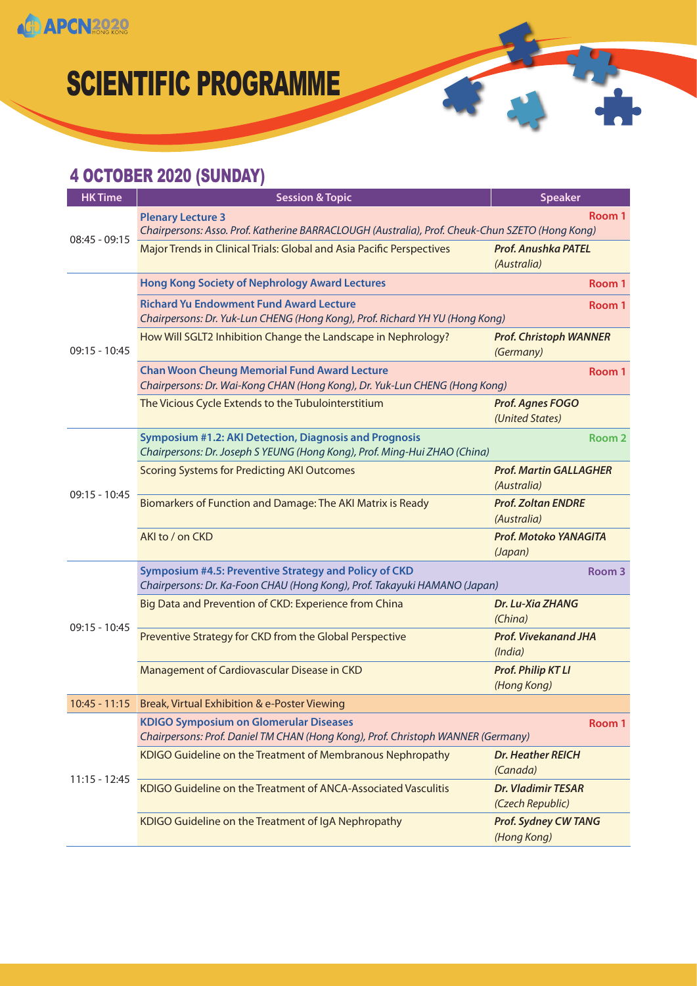

#### 4 OCTOBER 2020 (SUNDAY)

| <b>Session &amp; Topic</b>                                                                                                                 | <b>Speaker</b>                                |
|--------------------------------------------------------------------------------------------------------------------------------------------|-----------------------------------------------|
| <b>Plenary Lecture 3</b><br>Chairpersons: Asso. Prof. Katherine BARRACLOUGH (Australia), Prof. Cheuk-Chun SZETO (Hong Kong)                | Room 1                                        |
| Major Trends in Clinical Trials: Global and Asia Pacific Perspectives                                                                      | <b>Prof. Anushka PATEL</b><br>(Australia)     |
| <b>Hong Kong Society of Nephrology Award Lectures</b>                                                                                      | Room 1                                        |
| <b>Richard Yu Endowment Fund Award Lecture</b><br>Chairpersons: Dr. Yuk-Lun CHENG (Hong Kong), Prof. Richard YH YU (Hong Kong)             | Room 1                                        |
| How Will SGLT2 Inhibition Change the Landscape in Nephrology?                                                                              | <b>Prof. Christoph WANNER</b><br>(Germany)    |
| <b>Chan Woon Cheung Memorial Fund Award Lecture</b><br>Chairpersons: Dr. Wai-Kong CHAN (Hong Kong), Dr. Yuk-Lun CHENG (Hong Kong)          | Room 1                                        |
| The Vicious Cycle Extends to the Tubulointerstitium                                                                                        | Prof. Agnes FOGO<br>(United States)           |
| <b>Symposium #1.2: AKI Detection, Diagnosis and Prognosis</b><br>Chairpersons: Dr. Joseph S YEUNG (Hong Kong), Prof. Ming-Hui ZHAO (China) | Room <sub>2</sub>                             |
| <b>Scoring Systems for Predicting AKI Outcomes</b>                                                                                         | <b>Prof. Martin GALLAGHER</b><br>(Australia)  |
| Biomarkers of Function and Damage: The AKI Matrix is Ready                                                                                 | <b>Prof. Zoltan ENDRE</b><br>(Australia)      |
| AKI to / on CKD                                                                                                                            | Prof. Motoko YANAGITA<br>(Japan)              |
| Symposium #4.5: Preventive Strategy and Policy of CKD<br>Chairpersons: Dr. Ka-Foon CHAU (Hong Kong), Prof. Takayuki HAMANO (Japan)         | Room <sub>3</sub>                             |
| Big Data and Prevention of CKD: Experience from China                                                                                      | Dr. Lu-Xia ZHANG<br>(China)                   |
| Preventive Strategy for CKD from the Global Perspective                                                                                    | <b>Prof. Vivekanand JHA</b><br>(India)        |
| Management of Cardiovascular Disease in CKD                                                                                                | <b>Prof. Philip KT LI</b><br>(Hong Kong)      |
| 10:45 - 11:15 Break, Virtual Exhibition & e-Poster Viewing                                                                                 |                                               |
| <b>KDIGO Symposium on Glomerular Diseases</b><br>Chairpersons: Prof. Daniel TM CHAN (Hong Kong), Prof. Christoph WANNER (Germany)          | Room 1                                        |
| KDIGO Guideline on the Treatment of Membranous Nephropathy                                                                                 | <b>Dr. Heather REICH</b><br>(Canada)          |
| KDIGO Guideline on the Treatment of ANCA-Associated Vasculitis                                                                             | <b>Dr. Vladimir TESAR</b><br>(Czech Republic) |
| KDIGO Guideline on the Treatment of IgA Nephropathy                                                                                        | <b>Prof. Sydney CW TANG</b><br>(Hong Kong)    |
|                                                                                                                                            |                                               |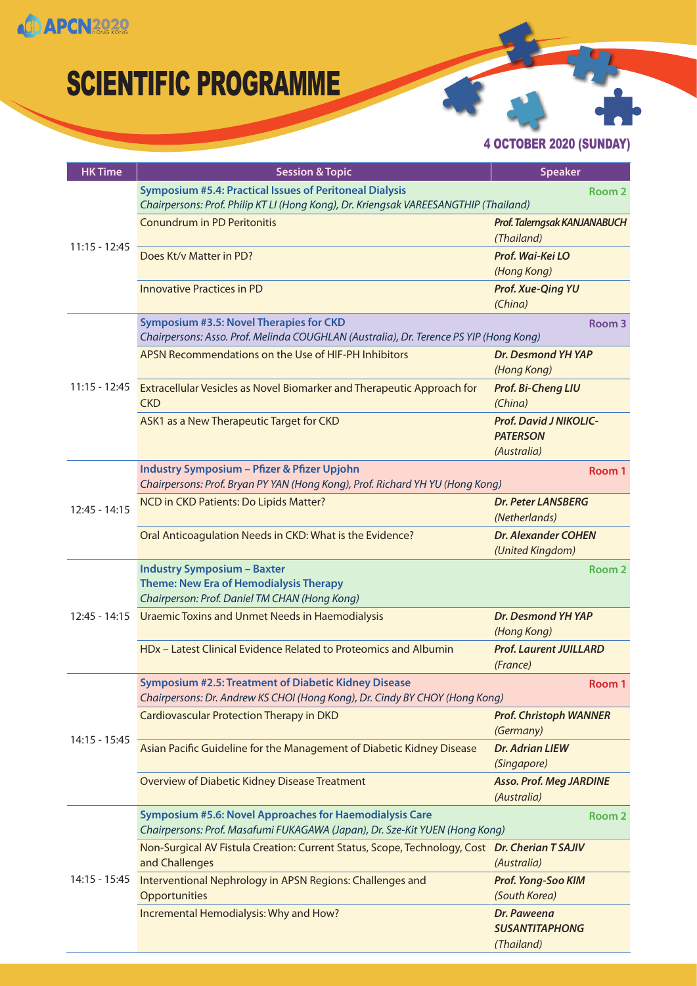

4 OCTOBER 2020 (SUNDAY)

| <b>HK Time</b>  | <b>Session &amp; Topic</b>                                                                                                                 | <b>Speaker</b>                                                  |
|-----------------|--------------------------------------------------------------------------------------------------------------------------------------------|-----------------------------------------------------------------|
| $11:15 - 12:45$ | <b>Symposium #5.4: Practical Issues of Peritoneal Dialysis</b>                                                                             | Room <sub>2</sub>                                               |
|                 | Chairpersons: Prof. Philip KT LI (Hong Kong), Dr. Kriengsak VAREESANGTHIP (Thailand)                                                       |                                                                 |
|                 | <b>Conundrum in PD Peritonitis</b>                                                                                                         | Prof. Talerngsak KANJANABUCH<br>(Thailand)                      |
|                 | Does Kt/v Matter in PD?                                                                                                                    | Prof. Wai-Kei LO<br>(Hong Kong)                                 |
|                 | <b>Innovative Practices in PD</b>                                                                                                          | <b>Prof. Xue-Qing YU</b><br>(China)                             |
|                 | Symposium #3.5: Novel Therapies for CKD<br>Chairpersons: Asso. Prof. Melinda COUGHLAN (Australia), Dr. Terence PS YIP (Hong Kong)          | Room 3                                                          |
|                 | APSN Recommendations on the Use of HIF-PH Inhibitors                                                                                       | Dr. Desmond YH YAP<br>(Hong Kong)                               |
|                 | 11:15 - 12:45 Extracellular Vesicles as Novel Biomarker and Therapeutic Approach for<br><b>CKD</b>                                         | Prof. Bi-Cheng LIU<br>(China)                                   |
|                 | ASK1 as a New Therapeutic Target for CKD                                                                                                   | <b>Prof. David J NIKOLIC-</b><br><b>PATERSON</b><br>(Australia) |
|                 | <b>Industry Symposium - Pfizer &amp; Pfizer Upjohn</b><br>Chairpersons: Prof. Bryan PY YAN (Hong Kong), Prof. Richard YH YU (Hong Kong)    | Room 1                                                          |
| $12:45 - 14:15$ | NCD in CKD Patients: Do Lipids Matter?                                                                                                     | <b>Dr. Peter LANSBERG</b><br>(Netherlands)                      |
|                 | Oral Anticoagulation Needs in CKD: What is the Evidence?                                                                                   | <b>Dr. Alexander COHEN</b><br>(United Kingdom)                  |
|                 | <b>Industry Symposium - Baxter</b>                                                                                                         | Room <sub>2</sub>                                               |
|                 | <b>Theme: New Era of Hemodialysis Therapy</b>                                                                                              |                                                                 |
|                 | Chairperson: Prof. Daniel TM CHAN (Hong Kong)                                                                                              | Dr. Desmond YH YAP                                              |
| $12:45 - 14:15$ | Uraemic Toxins and Unmet Needs in Haemodialysis                                                                                            | (Hong Kong)                                                     |
|                 | HDx - Latest Clinical Evidence Related to Proteomics and Albumin                                                                           | <b>Prof. Laurent JUILLARD</b><br>(France)                       |
|                 | <b>Symposium #2.5: Treatment of Diabetic Kidney Disease</b><br>Chairpersons: Dr. Andrew KS CHOI (Hong Kong), Dr. Cindy BY CHOY (Hong Kong) | Room 1                                                          |
| 14:15 - 15:45   | <b>Cardiovascular Protection Therapy in DKD</b>                                                                                            | <b>Prof. Christoph WANNER</b><br>(Germany)                      |
|                 | Asian Pacific Guideline for the Management of Diabetic Kidney Disease                                                                      | <b>Dr. Adrian LIEW</b><br>(Singapore)                           |
|                 | Overview of Diabetic Kidney Disease Treatment                                                                                              | <b>Asso. Prof. Meg JARDINE</b><br>(Australia)                   |
| $14:15 - 15:45$ | Symposium #5.6: Novel Approaches for Haemodialysis Care                                                                                    | Room <sub>2</sub>                                               |
|                 | Chairpersons: Prof. Masafumi FUKAGAWA (Japan), Dr. Sze-Kit YUEN (Hong Kong)                                                                |                                                                 |
|                 | Non-Surgical AV Fistula Creation: Current Status, Scope, Technology, Cost Dr. Cherian TSAJIV<br>and Challenges                             | (Australia)                                                     |
|                 | Interventional Nephrology in APSN Regions: Challenges and<br>Opportunities                                                                 | Prof. Yong-Soo KIM<br>(South Korea)                             |
|                 | Incremental Hemodialysis: Why and How?                                                                                                     | Dr. Paweena<br><b>SUSANTITAPHONG</b><br>(Thailand)              |